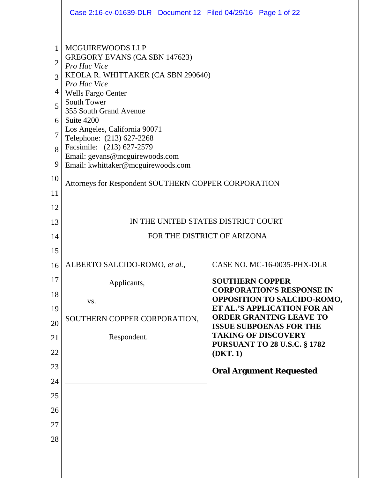|                                                        | Case 2:16-cv-01639-DLR  Document 12  Filed 04/29/16  Page 1 of 22                                                                                                                                                                                                                                                                                                              |                                                               |
|--------------------------------------------------------|--------------------------------------------------------------------------------------------------------------------------------------------------------------------------------------------------------------------------------------------------------------------------------------------------------------------------------------------------------------------------------|---------------------------------------------------------------|
| 1<br>$\overline{2}$<br>3<br>4<br>5<br>6<br>7<br>8<br>9 | MCGUIREWOODS LLP<br>GREGORY EVANS (CA SBN 147623)<br>Pro Hac Vice<br>KEOLA R. WHITTAKER (CA SBN 290640)<br>Pro Hac Vice<br><b>Wells Fargo Center</b><br>South Tower<br>355 South Grand Avenue<br>Suite 4200<br>Los Angeles, California 90071<br>Telephone: (213) 627-2268<br>Facsimile: (213) 627-2579<br>Email: gevans@mcguirewoods.com<br>Email: kwhittaker@mcguirewoods.com |                                                               |
| 10<br>11                                               | Attorneys for Respondent SOUTHERN COPPER CORPORATION                                                                                                                                                                                                                                                                                                                           |                                                               |
| 12                                                     |                                                                                                                                                                                                                                                                                                                                                                                |                                                               |
| 13                                                     |                                                                                                                                                                                                                                                                                                                                                                                | IN THE UNITED STATES DISTRICT COURT                           |
| 14                                                     |                                                                                                                                                                                                                                                                                                                                                                                | FOR THE DISTRICT OF ARIZONA                                   |
| 15                                                     |                                                                                                                                                                                                                                                                                                                                                                                |                                                               |
| 16                                                     | ALBERTO SALCIDO-ROMO, et al.,                                                                                                                                                                                                                                                                                                                                                  | CASE NO. MC-16-0035-PHX-DLR                                   |
| 17                                                     | Applicants,                                                                                                                                                                                                                                                                                                                                                                    | <b>SOUTHERN COPPER</b><br><b>CORPORATION'S RESPONSE IN</b>    |
| 18                                                     | VS.                                                                                                                                                                                                                                                                                                                                                                            | <b>OPPOSITION TO SALCIDO-ROMO,</b>                            |
| 19                                                     | SOUTHERN COPPER CORPORATION,                                                                                                                                                                                                                                                                                                                                                   | ET AL.'S APPLICATION FOR AN<br><b>ORDER GRANTING LEAVE TO</b> |
| 20                                                     |                                                                                                                                                                                                                                                                                                                                                                                | <b>ISSUE SUBPOENAS FOR THE</b><br><b>TAKING OF DISCOVERY</b>  |
| 21                                                     | Respondent.                                                                                                                                                                                                                                                                                                                                                                    | <b>PURSUANT TO 28 U.S.C. § 1782</b>                           |
| 22<br>23                                               |                                                                                                                                                                                                                                                                                                                                                                                | (DKT.1)                                                       |
| 24                                                     |                                                                                                                                                                                                                                                                                                                                                                                | <b>Oral Argument Requested</b>                                |
| 25                                                     |                                                                                                                                                                                                                                                                                                                                                                                |                                                               |
| 26                                                     |                                                                                                                                                                                                                                                                                                                                                                                |                                                               |
| 27                                                     |                                                                                                                                                                                                                                                                                                                                                                                |                                                               |
| 28                                                     |                                                                                                                                                                                                                                                                                                                                                                                |                                                               |
|                                                        |                                                                                                                                                                                                                                                                                                                                                                                |                                                               |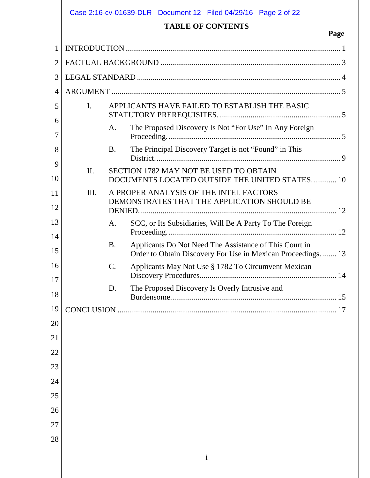|                |                | <b>TABLE OF CONTENTS</b>                                                                                                | Page                                                                                                                                                                                                                                                                                                                           |
|----------------|----------------|-------------------------------------------------------------------------------------------------------------------------|--------------------------------------------------------------------------------------------------------------------------------------------------------------------------------------------------------------------------------------------------------------------------------------------------------------------------------|
|                |                |                                                                                                                         |                                                                                                                                                                                                                                                                                                                                |
|                |                |                                                                                                                         |                                                                                                                                                                                                                                                                                                                                |
|                |                |                                                                                                                         |                                                                                                                                                                                                                                                                                                                                |
|                |                |                                                                                                                         |                                                                                                                                                                                                                                                                                                                                |
| $\mathbf{I}$ . |                |                                                                                                                         |                                                                                                                                                                                                                                                                                                                                |
|                | A.             | The Proposed Discovery Is Not "For Use" In Any Foreign                                                                  |                                                                                                                                                                                                                                                                                                                                |
|                | <b>B.</b>      | The Principal Discovery Target is not "Found" in This                                                                   |                                                                                                                                                                                                                                                                                                                                |
| $\Pi$ .        |                |                                                                                                                         |                                                                                                                                                                                                                                                                                                                                |
| III.           |                |                                                                                                                         |                                                                                                                                                                                                                                                                                                                                |
|                | A.             | SCC, or Its Subsidiaries, Will Be A Party To The Foreign                                                                |                                                                                                                                                                                                                                                                                                                                |
|                | <b>B.</b>      | Applicants Do Not Need The Assistance of This Court in<br>Order to Obtain Discovery For Use in Mexican Proceedings.  13 |                                                                                                                                                                                                                                                                                                                                |
|                | $\mathbf{C}$ . | Applicants May Not Use § 1782 To Circumvent Mexican                                                                     |                                                                                                                                                                                                                                                                                                                                |
|                | D.             | The Proposed Discovery Is Overly Intrusive and                                                                          |                                                                                                                                                                                                                                                                                                                                |
|                |                |                                                                                                                         |                                                                                                                                                                                                                                                                                                                                |
|                |                |                                                                                                                         |                                                                                                                                                                                                                                                                                                                                |
|                |                |                                                                                                                         |                                                                                                                                                                                                                                                                                                                                |
|                |                |                                                                                                                         |                                                                                                                                                                                                                                                                                                                                |
|                |                |                                                                                                                         |                                                                                                                                                                                                                                                                                                                                |
|                |                |                                                                                                                         |                                                                                                                                                                                                                                                                                                                                |
|                |                |                                                                                                                         |                                                                                                                                                                                                                                                                                                                                |
|                |                |                                                                                                                         |                                                                                                                                                                                                                                                                                                                                |
|                |                |                                                                                                                         |                                                                                                                                                                                                                                                                                                                                |
|                |                |                                                                                                                         |                                                                                                                                                                                                                                                                                                                                |
|                |                |                                                                                                                         |                                                                                                                                                                                                                                                                                                                                |
|                |                |                                                                                                                         | Case 2:16-cv-01639-DLR  Document 12  Filed 04/29/16  Page 2 of 22<br>APPLICANTS HAVE FAILED TO ESTABLISH THE BASIC<br><b>SECTION 1782 MAY NOT BE USED TO OBTAIN</b><br>DOCUMENTS LOCATED OUTSIDE THE UNITED STATES 10<br>A PROPER ANALYSIS OF THE INTEL FACTORS<br>DEMONSTRATES THAT THE APPLICATION SHOULD BE<br>$\mathbf{i}$ |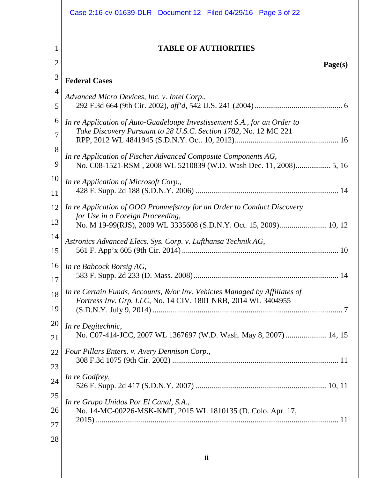|                     | Case 2:16-cv-01639-DLR Document 12 Filed 04/29/16 Page 3 of 22                                                                                |
|---------------------|-----------------------------------------------------------------------------------------------------------------------------------------------|
| 1<br>$\overline{2}$ | <b>TABLE OF AUTHORITIES</b><br>Page(s)                                                                                                        |
| 3                   | <b>Federal Cases</b>                                                                                                                          |
| 4                   | Advanced Micro Devices, Inc. v. Intel Corp.,                                                                                                  |
| 5                   |                                                                                                                                               |
| 6<br>7              | In re Application of Auto-Guadeloupe Investissement S.A., for an Order to<br>Take Discovery Pursuant to 28 U.S.C. Section 1782, No. 12 MC 221 |
| 8<br>9              | In re Application of Fischer Advanced Composite Components AG,                                                                                |
| 10<br>11            | In re Application of Microsoft Corp.,                                                                                                         |
| 12<br>13            | In re Application of OOO Promnefstroy for an Order to Conduct Discovery<br>for Use in a Foreign Proceeding,                                   |
| 14<br>15            | Astronics Advanced Elecs. Sys. Corp. v. Lufthansa Technik AG,                                                                                 |
| 16<br>17            | In re Babcock Borsig AG,                                                                                                                      |
| 18<br>19            | In re Certain Funds, Accounts, &/or Inv. Vehicles Managed by Affiliates of<br>Fortress Inv. Grp. LLC, No. 14 CIV. 1801 NRB, 2014 WL 3404955   |
| 20<br>21            | In re Degitechnic,<br>No. C07-414-JCC, 2007 WL 1367697 (W.D. Wash. May 8, 2007)  14, 15                                                       |
| 22                  | Four Pillars Enters. v. Avery Dennison Corp.,                                                                                                 |
| 23<br>24            | In re Godfrey,                                                                                                                                |
| 25<br>26<br>27      | In re Grupo Unidos Por El Canal, S.A.,<br>No. 14-MC-00226-MSK-KMT, 2015 WL 1810135 (D. Colo. Apr. 17,                                         |
| 28                  |                                                                                                                                               |
|                     | $\mathbf{ii}$                                                                                                                                 |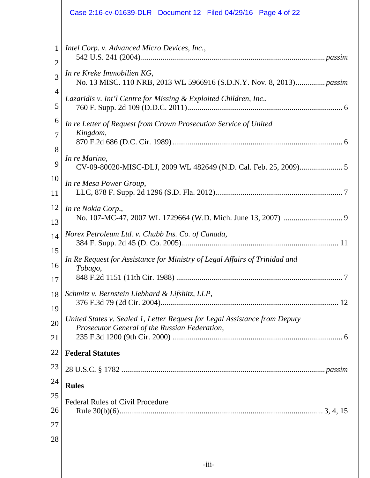|                     | Case 2:16-cv-01639-DLR Document 12 Filed 04/29/16 Page 4 of 22                                     |
|---------------------|----------------------------------------------------------------------------------------------------|
| 1<br>$\overline{2}$ | Intel Corp. v. Advanced Micro Devices, Inc.,                                                       |
| 3                   | In re Kreke Immobilien KG,<br>No. 13 MISC. 110 NRB, 2013 WL 5966916 (S.D.N.Y. Nov. 8, 2013) passim |
| 4<br>5              | Lazaridis v. Int'l Centre for Missing & Exploited Children, Inc.,                                  |
| 6                   | In re Letter of Request from Crown Prosecution Service of United<br>Kingdom,                       |
| 7<br>8              |                                                                                                    |
| 9                   | In re Marino,                                                                                      |
| 10<br>11            | In re Mesa Power Group,                                                                            |
| 12<br>13            | In re Nokia Corp.,                                                                                 |
| 14<br>15            | Norex Petroleum Ltd. v. Chubb Ins. Co. of Canada,                                                  |
| 16                  | In Re Request for Assistance for Ministry of Legal Affairs of Trinidad and<br>Tobago,              |
| 17<br>18            | Schmitz v. Bernstein Liebhard & Lifshitz, LLP,                                                     |
| 19                  | United States v. Sealed 1, Letter Request for Legal Assistance from Deputy                         |
| 20<br>21            | Prosecutor General of the Russian Federation,                                                      |
| 22                  | <b>Federal Statutes</b>                                                                            |
| 23                  |                                                                                                    |
| 24                  | <b>Rules</b>                                                                                       |
| 25                  | <b>Federal Rules of Civil Procedure</b>                                                            |
| 26                  |                                                                                                    |
| 27                  |                                                                                                    |
| 28                  |                                                                                                    |
|                     |                                                                                                    |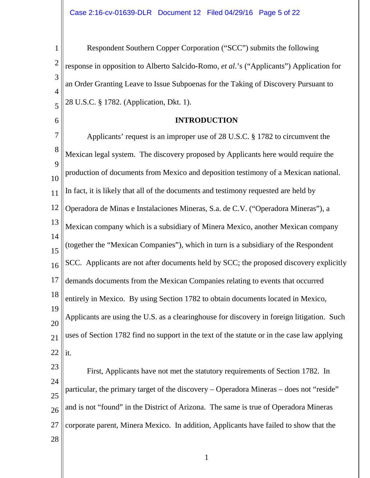1 2 3 4 5 Respondent Southern Copper Corporation ("SCC") submits the following response in opposition to Alberto Salcido-Romo, *et al*.'s ("Applicants") Application for an Order Granting Leave to Issue Subpoenas for the Taking of Discovery Pursuant to 28 U.S.C. § 1782. (Application, Dkt. 1).

## **INTRODUCTION**

7 8  $\overline{Q}$ 10 11 12 13 14 15 16 17 18 19 20 21 22 23 Applicants' request is an improper use of 28 U.S.C. § 1782 to circumvent the Mexican legal system. The discovery proposed by Applicants here would require the production of documents from Mexico and deposition testimony of a Mexican national. In fact, it is likely that all of the documents and testimony requested are held by Operadora de Minas e Instalaciones Mineras, S.a. de C.V. ("Operadora Mineras"), a Mexican company which is a subsidiary of Minera Mexico, another Mexican company (together the "Mexican Companies"), which in turn is a subsidiary of the Respondent SCC. Applicants are not after documents held by SCC; the proposed discovery explicitly demands documents from the Mexican Companies relating to events that occurred entirely in Mexico. By using Section 1782 to obtain documents located in Mexico, Applicants are using the U.S. as a clearinghouse for discovery in foreign litigation. Such uses of Section 1782 find no support in the text of the statute or in the case law applying it. First, Applicants have not met the statutory requirements of Section 1782. In

24 25 26 27 particular, the primary target of the discovery – Operadora Mineras – does not "reside" and is not "found" in the District of Arizona. The same is true of Operadora Mineras corporate parent, Minera Mexico. In addition, Applicants have failed to show that the

28

6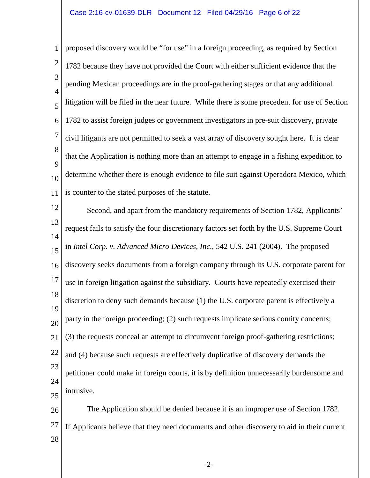## Case 2:16-cv-01639-DLR Document 12 Filed 04/29/16 Page 6 of 22

1 2 3 4 5 6 7 8  $\overline{Q}$ 10 11 proposed discovery would be "for use" in a foreign proceeding, as required by Section 1782 because they have not provided the Court with either sufficient evidence that the pending Mexican proceedings are in the proof-gathering stages or that any additional litigation will be filed in the near future. While there is some precedent for use of Section 1782 to assist foreign judges or government investigators in pre-suit discovery, private civil litigants are not permitted to seek a vast array of discovery sought here. It is clear that the Application is nothing more than an attempt to engage in a fishing expedition to determine whether there is enough evidence to file suit against Operadora Mexico, which is counter to the stated purposes of the statute.

12 13 14 15 16 17 18 19  $20$ 21 22 23 24 25 26 Second, and apart from the mandatory requirements of Section 1782, Applicants' request fails to satisfy the four discretionary factors set forth by the U.S. Supreme Court in *Intel Corp. v. Advanced Micro Devices, Inc.*, 542 U.S. 241 (2004). The proposed discovery seeks documents from a foreign company through its U.S. corporate parent for use in foreign litigation against the subsidiary. Courts have repeatedly exercised their discretion to deny such demands because (1) the U.S. corporate parent is effectively a party in the foreign proceeding; (2) such requests implicate serious comity concerns; (3) the requests conceal an attempt to circumvent foreign proof-gathering restrictions; and (4) because such requests are effectively duplicative of discovery demands the petitioner could make in foreign courts, it is by definition unnecessarily burdensome and intrusive. The Application should be denied because it is an improper use of Section 1782.

27 If Applicants believe that they need documents and other discovery to aid in their current

28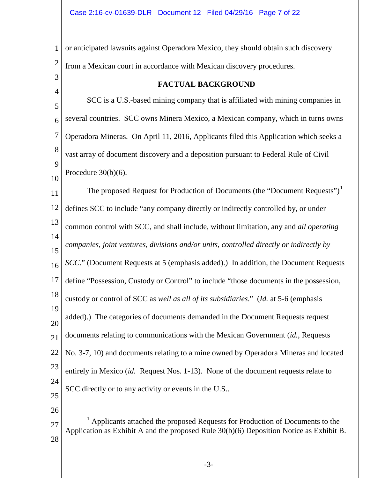1 2 or anticipated lawsuits against Operadora Mexico, they should obtain such discovery from a Mexican court in accordance with Mexican discovery procedures.

<span id="page-6-1"></span><span id="page-6-0"></span>3 4 5 6 7 8  $\overline{Q}$ 10 11 12 13 14 15 16 17 18 19 20 21 22 23 24 25 26 27 28 **FACTUAL BACKGROUND** SCC is a U.S.-based mining company that is affiliated with mining companies in several countries. SCC owns Minera Mexico, a Mexican company, which in turns owns Operadora Mineras. On April 11, 2016, Applicants filed this Application which seeks a vast array of document discovery and a deposition pursuant to Federal Rule of Civil Procedure 30(b)(6). The proposed Request for Production of Documents (the "Document Requests")<sup>[1](#page-6-1)</sup> defines SCC to include "any company directly or indirectly controlled by, or under common control with SCC, and shall include, without limitation, any and *all operating companies, joint ventures, divisions and/or units, controlled directly or indirectly by SCC*." (Document Requests at 5 (emphasis added).) In addition, the Document Requests define "Possession, Custody or Control" to include "those documents in the possession, custody or control of SCC a*s well as all of its subsidiaries*." (*Id.* at 5-6 (emphasis added).) The categories of documents demanded in the Document Requests request documents relating to communications with the Mexican Government (*id.*, Requests No. 3-7, 10) and documents relating to a mine owned by Operadora Mineras and located entirely in Mexico (*id.* Request Nos. 1-13). None of the document requests relate to SCC directly or to any activity or events in the U.S..  $\overline{a}$ <sup>1</sup> Applicants attached the proposed Requests for Production of Documents to the Application as Exhibit A and the proposed Rule 30(b)(6) Deposition Notice as Exhibit B.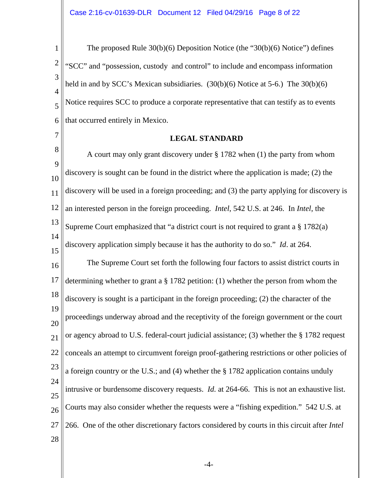<span id="page-7-0"></span>1 2 3 4 5 6 The proposed Rule 30(b)(6) Deposition Notice (the "30(b)(6) Notice") defines "SCC" and "possession, custody and control" to include and encompass information held in and by SCC's Mexican subsidiaries. (30(b)(6) Notice at 5-6.) The 30(b)(6) Notice requires SCC to produce a corporate representative that can testify as to events that occurred entirely in Mexico.

**LEGAL STANDARD**

7

8  $\overline{Q}$ 10 11 12 13 14 15 16 17 18 19  $20$ 21 22 23 24 25 26 27 28 A court may only grant discovery under § 1782 when (1) the party from whom discovery is sought can be found in the district where the application is made; (2) the discovery will be used in a foreign proceeding; and (3) the party applying for discovery is an interested person in the foreign proceeding. *Intel*, 542 U.S. at 246. In *Intel*, the Supreme Court emphasized that "a district court is not required to grant a § 1782(a) discovery application simply because it has the authority to do so." *Id*. at 264. The Supreme Court set forth the following four factors to assist district courts in determining whether to grant a § 1782 petition: (1) whether the person from whom the discovery is sought is a participant in the foreign proceeding; (2) the character of the proceedings underway abroad and the receptivity of the foreign government or the court or agency abroad to U.S. federal-court judicial assistance; (3) whether the § 1782 request conceals an attempt to circumvent foreign proof-gathering restrictions or other policies of a foreign country or the U.S.; and (4) whether the § 1782 application contains unduly intrusive or burdensome discovery requests. *Id.* at 264-66. This is not an exhaustive list. Courts may also consider whether the requests were a "fishing expedition." 542 U.S. at 266. One of the other discretionary factors considered by courts in this circuit after *Intel*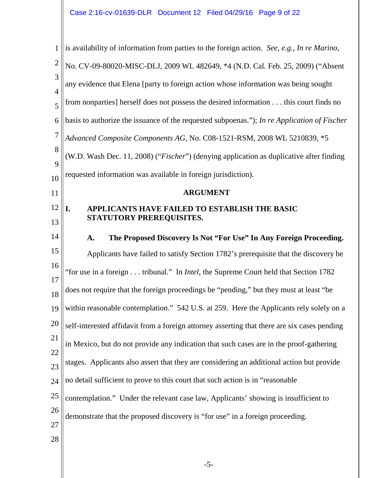<span id="page-8-1"></span><span id="page-8-0"></span>

| $\mathbf{1}$        | is availability of information from parties to the foreign action. See, e.g., In re Marino,   |
|---------------------|-----------------------------------------------------------------------------------------------|
| $\overline{2}$      | No. CV-09-80020-MISC-DLJ, 2009 WL 482649, *4 (N.D. Cal. Feb. 25, 2009) ("Absent               |
| 3<br>$\overline{4}$ | any evidence that Elena [party to foreign action whose information was being sought           |
| 5                   | from nonparties] herself does not possess the desired information this court finds no         |
| 6                   | basis to authorize the issuance of the requested subpoenas."); In re Application of Fischer   |
| 7                   | Advanced Composite Components AG, No. C08-1521-RSM, 2008 WL 5210839, *5                       |
| 8                   | (W.D. Wash Dec. 11, 2008) ("Fischer") (denying application as duplicative after finding       |
| 9                   | requested information was available in foreign jurisdiction).                                 |
| 10                  |                                                                                               |
| 11                  | <b>ARGUMENT</b>                                                                               |
| 12                  | I.<br>APPLICANTS HAVE FAILED TO ESTABLISH THE BASIC                                           |
| 13                  | STATUTORY PREREQUISITES.                                                                      |
| 14                  | The Proposed Discovery Is Not "For Use" In Any Foreign Proceeding.<br>A.                      |
| 15                  | Applicants have failed to satisfy Section 1782's prerequisite that the discovery be           |
| 16<br>17            | "for use in a foreign tribunal." In <i>Intel</i> , the Supreme Court held that Section 1782   |
| 18                  | does not require that the foreign proceedings be "pending," but they must at least "be        |
|                     | 19    within reasonable contemplation." 542 U.S. at 259. Here the Applicants rely solely on a |
| 20                  | self-interested affidavit from a foreign attorney asserting that there are six cases pending  |
| 21                  | in Mexico, but do not provide any indication that such cases are in the proof-gathering       |
| 22                  |                                                                                               |
| 23                  | stages. Applicants also assert that they are considering an additional action but provide     |
| 24                  | no detail sufficient to prove to this court that such action is in "reasonable                |
| 25                  | contemplation." Under the relevant case law, Applicants' showing is insufficient to           |
| 26                  | demonstrate that the proposed discovery is "for use" in a foreign proceeding.                 |
| 27                  |                                                                                               |
| 28                  |                                                                                               |
|                     |                                                                                               |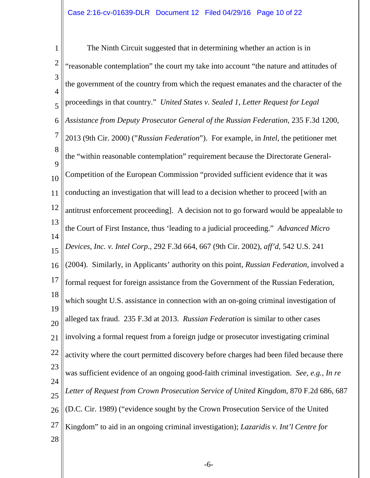<span id="page-9-3"></span><span id="page-9-2"></span><span id="page-9-1"></span><span id="page-9-0"></span>1 2 3 4 5 6 7 8  $\overline{Q}$ 10 11 12 13 14 15 16 17 18 19  $20$ 21 22 23 24 25 26 27 28 The Ninth Circuit suggested that in determining whether an action is in "reasonable contemplation" the court my take into account "the nature and attitudes of the government of the country from which the request emanates and the character of the proceedings in that country." *United States v. Sealed 1, Letter Request for Legal Assistance from Deputy Prosecutor General of the Russian Federation*, 235 F.3d 1200, 2013 (9th Cir. 2000) ("*Russian Federation*"). For example, in *Intel*, the petitioner met the "within reasonable contemplation" requirement because the Directorate General-Competition of the European Commission "provided sufficient evidence that it was conducting an investigation that will lead to a decision whether to proceed [with an antitrust enforcement proceeding]. A decision not to go forward would be appealable to the Court of First Instance, thus 'leading to a judicial proceeding." *Advanced Micro Devices, Inc. v. Intel Corp*., 292 F.3d 664, 667 (9th Cir. 2002), *aff'd*, 542 U.S. 241 (2004). Similarly, in Applicants' authority on this point, *Russian Federation*, involved a formal request for foreign assistance from the Government of the Russian Federation, which sought U.S. assistance in connection with an on-going criminal investigation of alleged tax fraud. 235 F.3d at 2013. *Russian Federation* is similar to other cases involving a formal request from a foreign judge or prosecutor investigating criminal activity where the court permitted discovery before charges had been filed because there was sufficient evidence of an ongoing good-faith criminal investigation. *See, e.g.*, *In re Letter of Request from Crown Prosecution Service of United Kingdom*, 870 F.2d 686, 687 (D.C. Cir. 1989) ("evidence sought by the Crown Prosecution Service of the United Kingdom" to aid in an ongoing criminal investigation); *Lazaridis v. Int'l Centre for*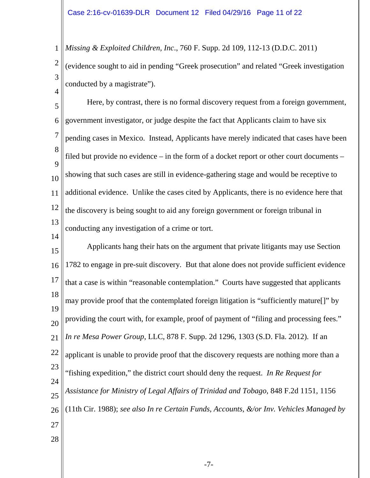1 2 *Missing & Exploited Children, Inc*., 760 F. Supp. 2d 109, 112-13 (D.D.C. 2011) (evidence sought to aid in pending "Greek prosecution" and related "Greek investigation

3 4

conducted by a magistrate").

14

5 6 7 8  $\overline{Q}$ 10 11 12 13 Here, by contrast, there is no formal discovery request from a foreign government, government investigator, or judge despite the fact that Applicants claim to have six pending cases in Mexico. Instead, Applicants have merely indicated that cases have been filed but provide no evidence – in the form of a docket report or other court documents – showing that such cases are still in evidence-gathering stage and would be receptive to additional evidence. Unlike the cases cited by Applicants, there is no evidence here that the discovery is being sought to aid any foreign government or foreign tribunal in conducting any investigation of a crime or tort.

<span id="page-10-2"></span><span id="page-10-1"></span><span id="page-10-0"></span>15 16 17 18 19  $20$ 21 22 23 24 25 26 27 28 Applicants hang their hats on the argument that private litigants may use Section 1782 to engage in pre-suit discovery. But that alone does not provide sufficient evidence that a case is within "reasonable contemplation." Courts have suggested that applicants may provide proof that the contemplated foreign litigation is "sufficiently mature[]" by providing the court with, for example, proof of payment of "filing and processing fees." *In re Mesa Power Group*, LLC, 878 F. Supp. 2d 1296, 1303 (S.D. Fla. 2012). If an applicant is unable to provide proof that the discovery requests are nothing more than a "fishing expedition," the district court should deny the request. *In Re Request for Assistance for Ministry of Legal Affairs of Trinidad and Tobago*, 848 F.2d 1151, 1156 (11th Cir. 1988); *see also In re Certain Funds, Accounts, &/or Inv. Vehicles Managed by*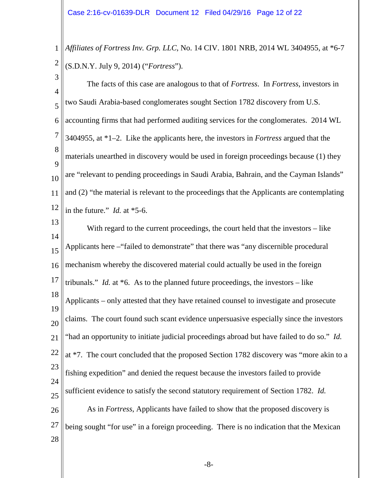1 2 *Affiliates of Fortress Inv. Grp. LLC*, No. 14 CIV. 1801 NRB, 2014 WL 3404955, at \*6-7 (S.D.N.Y. July 9, 2014) ("*Fortress*").

3 4 5 6 7 8  $\overline{Q}$ 10 11 12 The facts of this case are analogous to that of *Fortress*. In *Fortress*, investors in two Saudi Arabia-based conglomerates sought Section 1782 discovery from U.S. accounting firms that had performed auditing services for the conglomerates. 2014 WL 3404955, at \*1–2. Like the applicants here, the investors in *Fortress* argued that the materials unearthed in discovery would be used in foreign proceedings because (1) they are "relevant to pending proceedings in Saudi Arabia, Bahrain, and the Cayman Islands" and (2) "the material is relevant to the proceedings that the Applicants are contemplating in the future." *Id.* at \*5-6.

13 14 15 16 17 18 19 20 21 22 23 24 25 26 27 28 With regard to the current proceedings, the court held that the investors – like Applicants here –"failed to demonstrate" that there was "any discernible procedural mechanism whereby the discovered material could actually be used in the foreign tribunals." *Id.* at \*6. As to the planned future proceedings, the investors – like Applicants – only attested that they have retained counsel to investigate and prosecute claims. The court found such scant evidence unpersuasive especially since the investors "had an opportunity to initiate judicial proceedings abroad but have failed to do so." *Id.* at \*7. The court concluded that the proposed Section 1782 discovery was "more akin to a fishing expedition" and denied the request because the investors failed to provide sufficient evidence to satisfy the second statutory requirement of Section 1782. *Id.* As in *Fortress*, Applicants have failed to show that the proposed discovery is being sought "for use" in a foreign proceeding. There is no indication that the Mexican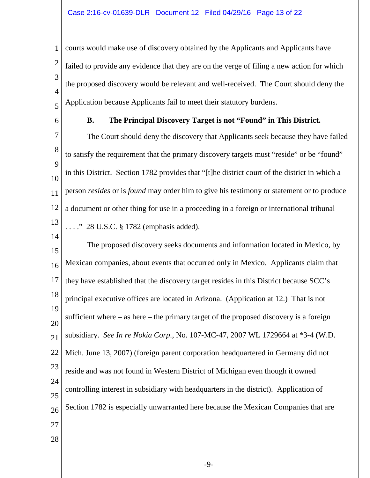1 2 3 4 5 courts would make use of discovery obtained by the Applicants and Applicants have failed to provide any evidence that they are on the verge of filing a new action for which the proposed discovery would be relevant and well-received. The Court should deny the Application because Applicants fail to meet their statutory burdens.

6

14

## **B. The Principal Discovery Target is not "Found" in This District.**

7 8  $\overline{Q}$ 10 11 12 13 The Court should deny the discovery that Applicants seek because they have failed to satisfy the requirement that the primary discovery targets must "reside" or be "found" in this District. Section 1782 provides that "[t]he district court of the district in which a person *resides* or is *found* may order him to give his testimony or statement or to produce a document or other thing for use in a proceeding in a foreign or international tribunal . . . . " 28 U.S.C. § 1782 (emphasis added).

<span id="page-12-0"></span>15 16 17 18 19 20 21 22 23 24 25 26 27 28 The proposed discovery seeks documents and information located in Mexico, by Mexican companies, about events that occurred only in Mexico. Applicants claim that they have established that the discovery target resides in this District because SCC's principal executive offices are located in Arizona. (Application at 12.) That is not sufficient where – as here – the primary target of the proposed discovery is a foreign subsidiary. *See In re Nokia Corp*., No. 107-MC-47, 2007 WL 1729664 at \*3-4 (W.D. Mich. June 13, 2007) (foreign parent corporation headquartered in Germany did not reside and was not found in Western District of Michigan even though it owned controlling interest in subsidiary with headquarters in the district). Application of Section 1782 is especially unwarranted here because the Mexican Companies that are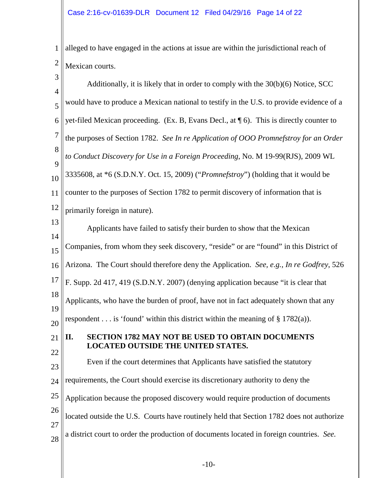1 alleged to have engaged in the actions at issue are within the jurisdictional reach of 2 Mexican courts.

<span id="page-13-0"></span>

| 3                   | Additionally, it is likely that in order to comply with the 30(b)(6) Notice, SCC           |
|---------------------|--------------------------------------------------------------------------------------------|
| $\overline{4}$<br>5 | would have to produce a Mexican national to testify in the U.S. to provide evidence of a   |
| 6                   | yet-filed Mexican proceeding. (Ex. B, Evans Decl., at $\P$ 6). This is directly counter to |
| $\overline{7}$      |                                                                                            |
| 8                   | the purposes of Section 1782. See In re Application of OOO Promnefstroy for an Order       |
| 9                   | to Conduct Discovery for Use in a Foreign Proceeding, No. M 19-99(RJS), 2009 WL            |
| 10                  | 3335608, at *6 (S.D.N.Y. Oct. 15, 2009) ("Promnefstroy") (holding that it would be         |
| 11                  | counter to the purposes of Section 1782 to permit discovery of information that is         |
| 12                  | primarily foreign in nature).                                                              |
| 13                  | Applicants have failed to satisfy their burden to show that the Mexican                    |
| 14                  |                                                                                            |
| 15                  | Companies, from whom they seek discovery, "reside" or are "found" in this District of      |
| 16                  | Arizona. The Court should therefore deny the Application. See, e.g., In re Godfrey, 526    |
| 17                  | F. Supp. 2d 417, 419 (S.D.N.Y. 2007) (denying application because "it is clear that        |
| 18                  | Applicants, who have the burden of proof, have not in fact adequately shown that any       |
| 19<br>20            | respondent is 'found' within this district within the meaning of $\S 1782(a)$ ).           |
|                     | SECTION 1782 MAY NOT BE USED TO OBTAIN DOCUMENTS                                           |
| 21                  | II.<br><b>LOCATED OUTSIDE THE UNITED STATES.</b>                                           |
| 22                  | Even if the court determines that Applicants have satisfied the statutory                  |
| 23<br>24            | requirements, the Court should exercise its discretionary authority to deny the            |
|                     |                                                                                            |
| 25                  | Application because the proposed discovery would require production of documents           |
| 26                  | located outside the U.S. Courts have routinely held that Section 1782 does not authorize   |
| 27                  | a district court to order the production of documents located in foreign countries. See.   |
| 28                  |                                                                                            |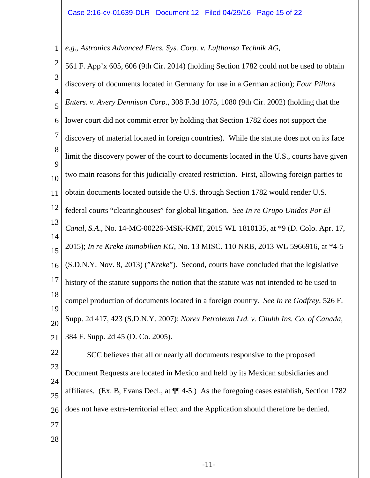<span id="page-14-1"></span><span id="page-14-0"></span>1 *e.g.*, *Astronics Advanced Elecs. Sys. Corp. v. Lufthansa Technik AG*,

<span id="page-14-4"></span><span id="page-14-3"></span><span id="page-14-2"></span>

| $\overline{c}$      | 561 F. App'x 605, 606 (9th Cir. 2014) (holding Section 1782 could not be used to obtain            |
|---------------------|----------------------------------------------------------------------------------------------------|
| 3                   | discovery of documents located in Germany for use in a German action); Four Pillars                |
| $\overline{4}$<br>5 | Enters. v. Avery Dennison Corp., 308 F.3d 1075, 1080 (9th Cir. 2002) (holding that the             |
| 6                   | lower court did not commit error by holding that Section 1782 does not support the                 |
| 7                   | discovery of material located in foreign countries). While the statute does not on its face        |
| 8                   | limit the discovery power of the court to documents located in the U.S., courts have given         |
| 9<br>10             | two main reasons for this judicially-created restriction. First, allowing foreign parties to       |
| 11                  | obtain documents located outside the U.S. through Section 1782 would render U.S.                   |
| 12                  | federal courts "clearinghouses" for global litigation. See In re Grupo Unidos Por El               |
| 13                  | Canal, S.A., No. 14-MC-00226-MSK-KMT, 2015 WL 1810135, at *9 (D. Colo. Apr. 17,                    |
| 14<br>15            | 2015); In re Kreke Immobilien KG, No. 13 MISC. 110 NRB, 2013 WL 5966916, at *4-5                   |
| 16                  | (S.D.N.Y. Nov. 8, 2013) ("Kreke"). Second, courts have concluded that the legislative              |
| 17                  | history of the statute supports the notion that the statute was not intended to be used to         |
| 18                  | compel production of documents located in a foreign country. See In re Godfrey, 526 F.             |
| 19<br>20            | Supp. 2d 417, 423 (S.D.N.Y. 2007); Norex Petroleum Ltd. v. Chubb Ins. Co. of Canada,               |
| 21                  | 384 F. Supp. 2d 45 (D. Co. 2005).                                                                  |
| 22                  | SCC believes that all or nearly all documents responsive to the proposed                           |
| 23                  | Document Requests are located in Mexico and held by its Mexican subsidiaries and                   |
| 24<br>25            | affiliates. (Ex. B, Evans Decl., at $\P$ $(4-5)$ .) As the foregoing cases establish, Section 1782 |
| 26                  | does not have extra-territorial effect and the Application should therefore be denied.             |
| 27                  |                                                                                                    |
| 28                  |                                                                                                    |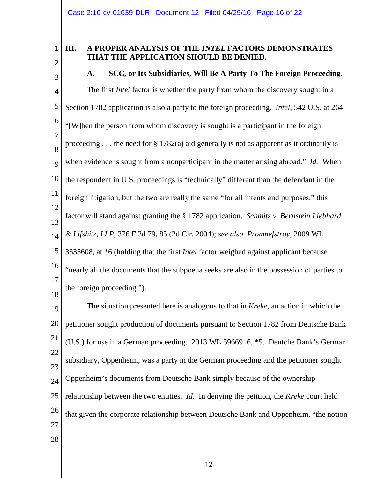1 2

## **III. A PROPER ANALYSIS OF THE** *INTEL* **FACTORS DEMONSTRATES THAT THE APPLICATION SHOULD BE DENIED.**

3 4 5 6 7 8  $\overline{Q}$ 10 11 12 13 14 15 16 17 18 **A. SCC, or Its Subsidiaries, Will Be A Party To The Foreign Proceeding.** The first *Intel* factor is whether the party from whom the discovery sought in a Section 1782 application is also a party to the foreign proceeding. *Intel*, 542 U.S. at 264. "[W]hen the person from whom discovery is sought is a participant in the foreign proceeding  $\dots$  the need for § 1782(a) aid generally is not as apparent as it ordinarily is when evidence is sought from a nonparticipant in the matter arising abroad." *Id.* When the respondent in U.S. proceedings is "technically" different than the defendant in the foreign litigation, but the two are really the same "for all intents and purposes," this factor will stand against granting the § 1782 application. *Schmitz v. Bernstein Liebhard & Lifshitz, LLP*, 376 F.3d 79, 85 (2d Cir. 2004); *see also Promnefstroy*, 2009 WL 3335608, at \*6 (holding that the first *Intel* factor weighed against applicant because "nearly all the documents that the subpoena seeks are also in the possession of parties to the foreign proceeding.").

<span id="page-15-0"></span>19 20 21 22  $23$  $24$ 25 26 27 28 The situation presented here is analogous to that in *Kreke*, an action in which the petitioner sought production of documents pursuant to Section 1782 from Deutsche Bank (U.S.) for use in a German proceeding. 2013 WL 5966916, \*5. Deutche Bank's German subsidiary, Oppenheim, was a party in the German proceeding and the petitioner sought Oppenheim's documents from Deutsche Bank simply because of the ownership relationship between the two entities. *Id.* In denying the petition, the *Kreke* court held that given the corporate relationship between Deutsche Bank and Oppenheim, "the notion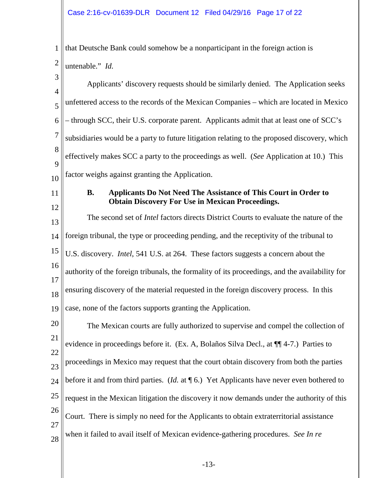<span id="page-16-0"></span>

| 1                   | that Deutsche Bank could somehow be a nonparticipant in the foreign action is                         |
|---------------------|-------------------------------------------------------------------------------------------------------|
| $\overline{2}$      | untenable." Id.                                                                                       |
| 3<br>$\overline{4}$ | Applicants' discovery requests should be similarly denied. The Application seeks                      |
| 5                   | unfettered access to the records of the Mexican Companies – which are located in Mexico               |
| 6                   | – through SCC, their U.S. corporate parent. Applicants admit that at least one of SCC's               |
| 7                   | subsidiaries would be a party to future litigation relating to the proposed discovery, which          |
| 8<br>9              | effectively makes SCC a party to the proceedings as well. (See Application at 10.) This               |
| 10                  | factor weighs against granting the Application.                                                       |
| 11                  | Applicants Do Not Need The Assistance of This Court in Order to<br><b>B.</b>                          |
| 12                  | <b>Obtain Discovery For Use in Mexican Proceedings.</b>                                               |
| 13                  | The second set of Intel factors directs District Courts to evaluate the nature of the                 |
| 14                  | foreign tribunal, the type or proceeding pending, and the receptivity of the tribunal to              |
| 15                  | U.S. discovery. <i>Intel</i> , 541 U.S. at 264. These factors suggests a concern about the            |
| 16                  | authority of the foreign tribunals, the formality of its proceedings, and the availability for        |
| 17<br>18            | ensuring discovery of the material requested in the foreign discovery process. In this                |
| 19                  | case, none of the factors supports granting the Application.                                          |
| 20                  | The Mexican courts are fully authorized to supervise and compel the collection of                     |
| 21                  | evidence in proceedings before it. (Ex. A, Bolaños Silva Decl., at ¶ 4-7.) Parties to                 |
| 22<br>23            | proceedings in Mexico may request that the court obtain discovery from both the parties               |
| 24                  | before it and from third parties. ( <i>Id.</i> at $\P$ 6.) Yet Applicants have never even bothered to |
| 25                  | request in the Mexican litigation the discovery it now demands under the authority of this            |
| 26                  | Court. There is simply no need for the Applicants to obtain extraterritorial assistance               |
| 27<br>28            | when it failed to avail itself of Mexican evidence-gathering procedures. See In re                    |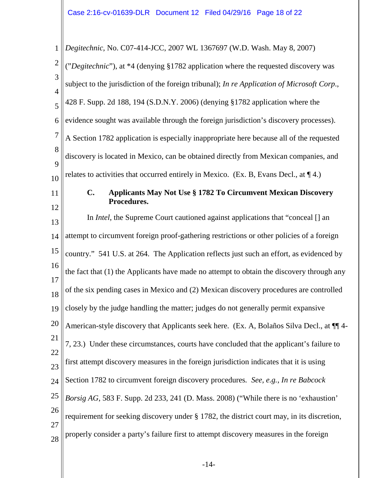<span id="page-17-1"></span><span id="page-17-0"></span>

| $\mathbf{1}$        | Degitechnic, No. C07-414-JCC, 2007 WL 1367697 (W.D. Wash. May 8, 2007)                      |
|---------------------|---------------------------------------------------------------------------------------------|
| $\overline{2}$      | ("Degitechnic"), at *4 (denying §1782 application where the requested discovery was         |
| 3                   | subject to the jurisdiction of the foreign tribunal); In re Application of Microsoft Corp., |
| $\overline{4}$<br>5 | 428 F. Supp. 2d 188, 194 (S.D.N.Y. 2006) (denying §1782 application where the               |
| 6                   | evidence sought was available through the foreign jurisdiction's discovery processes).      |
| $\overline{7}$      | A Section 1782 application is especially inappropriate here because all of the requested    |
| 8                   | discovery is located in Mexico, can be obtained directly from Mexican companies, and        |
| 9<br>10             | relates to activities that occurred entirely in Mexico. (Ex. B, Evans Decl., at $\P$ 4.)    |
| 11                  | <b>Applicants May Not Use § 1782 To Circumvent Mexican Discovery</b><br>$\mathbf{C}$ .      |
| 12                  | Procedures.                                                                                 |
| 13                  | In <i>Intel</i> , the Supreme Court cautioned against applications that "conceal [] an      |
| 14                  | attempt to circumvent foreign proof-gathering restrictions or other policies of a foreign   |
| 15                  | country." 541 U.S. at 264. The Application reflects just such an effort, as evidenced by    |
| 16<br>17            | the fact that (1) the Applicants have made no attempt to obtain the discovery through any   |
| 18                  | of the six pending cases in Mexico and (2) Mexican discovery procedures are controlled      |
| 19                  | closely by the judge handling the matter; judges do not generally permit expansive          |
| 20                  | American-style discovery that Applicants seek here. (Ex. A, Bolaños Silva Decl., at $\P$ 4- |
| 21                  | 7, 23.) Under these circumstances, courts have concluded that the applicant's failure to    |
| 22<br>23            | first attempt discovery measures in the foreign jurisdiction indicates that it is using     |
| 24                  | Section 1782 to circumvent foreign discovery procedures. See, e.g., In re Babcock           |
| 25                  | Borsig AG, 583 F. Supp. 2d 233, 241 (D. Mass. 2008) ("While there is no 'exhaustion'        |
| 26<br>27            | requirement for seeking discovery under § 1782, the district court may, in its discretion,  |
| 28                  | properly consider a party's failure first to attempt discovery measures in the foreign      |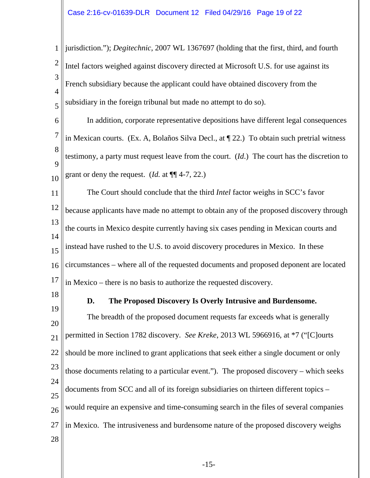<span id="page-18-0"></span>1 2 3 4 5 jurisdiction."); *Degitechnic*, 2007 WL 1367697 (holding that the first, third, and fourth Intel factors weighed against discovery directed at Microsoft U.S. for use against its French subsidiary because the applicant could have obtained discovery from the subsidiary in the foreign tribunal but made no attempt to do so).

6 7 8  $\overline{Q}$ 10 In addition, corporate representative depositions have different legal consequences in Mexican courts. (Ex. A, Bolaños Silva Decl., at ¶ 22.) To obtain such pretrial witness testimony, a party must request leave from the court. (*Id*.) The court has the discretion to grant or deny the request. (*Id.* at ¶¶ 4-7, 22.)

11 12 13 14 15 16 17 The Court should conclude that the third *Intel* factor weighs in SCC's favor because applicants have made no attempt to obtain any of the proposed discovery through the courts in Mexico despite currently having six cases pending in Mexican courts and instead have rushed to the U.S. to avoid discovery procedures in Mexico. In these circumstances – where all of the requested documents and proposed deponent are located in Mexico – there is no basis to authorize the requested discovery.

18

19

**D. The Proposed Discovery Is Overly Intrusive and Burdensome.**

20 21 22 23 24 25 26 27 28 The breadth of the proposed document requests far exceeds what is generally permitted in Section 1782 discovery. *See Kreke*, 2013 WL 5966916, at \*7 ("[C]ourts should be more inclined to grant applications that seek either a single document or only those documents relating to a particular event."). The proposed discovery – which seeks documents from SCC and all of its foreign subsidiaries on thirteen different topics – would require an expensive and time-consuming search in the files of several companies in Mexico. The intrusiveness and burdensome nature of the proposed discovery weighs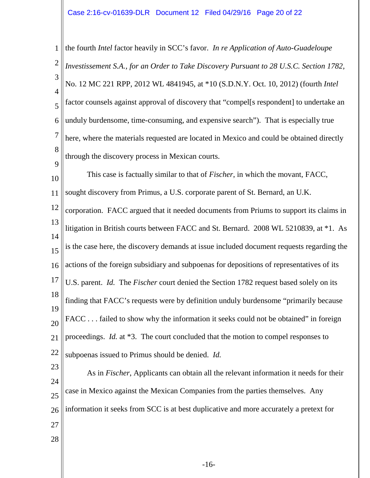1 2 3 4 5 6 7 8  $\overline{Q}$ the fourth *Intel* factor heavily in SCC's favor. *In re Application of Auto-Guadeloupe Investissement S.A., for an Order to Take Discovery Pursuant to 28 U.S.C. Section 1782,*  No. 12 MC 221 RPP, 2012 WL 4841945, at \*10 (S.D.N.Y. Oct. 10, 2012) (fourth *Intel* factor counsels against approval of discovery that "compel[s respondent] to undertake an unduly burdensome, time-consuming, and expensive search"). That is especially true here, where the materials requested are located in Mexico and could be obtained directly through the discovery process in Mexican courts.

<span id="page-19-0"></span>10 11 12 13 14 15 16 17 18 19  $20$ 21 22 This case is factually similar to that of *Fischer*, in which the movant, FACC, sought discovery from Primus, a U.S. corporate parent of St. Bernard, an U.K. corporation. FACC argued that it needed documents from Priums to support its claims in litigation in British courts between FACC and St. Bernard. 2008 WL 5210839, at \*1. As is the case here, the discovery demands at issue included document requests regarding the actions of the foreign subsidiary and subpoenas for depositions of representatives of its U.S. parent. *Id.* The *Fischer* court denied the Section 1782 request based solely on its finding that FACC's requests were by definition unduly burdensome "primarily because FACC ... failed to show why the information it seeks could not be obtained" in foreign proceedings. *Id.* at \*3. The court concluded that the motion to compel responses to subpoenas issued to Primus should be denied. *Id.*

23 24 25 26 27 28 As in *Fischer*, Applicants can obtain all the relevant information it needs for their case in Mexico against the Mexican Companies from the parties themselves. Any information it seeks from SCC is at best duplicative and more accurately a pretext for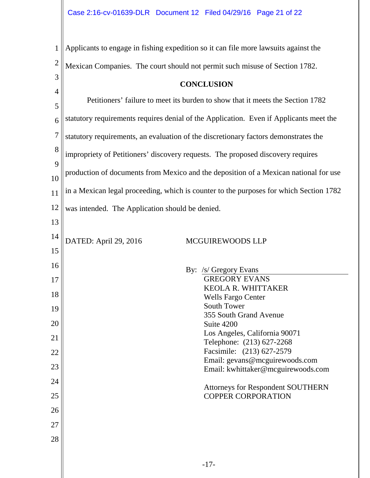1 2 3 4 5 6 7 8 9 10 11 12 13 14 15 16 17 18 19 20 21 22 23 24 25 26 27 28 Applicants to engage in fishing expedition so it can file more lawsuits against the Mexican Companies. The court should not permit such misuse of Section 1782. **CONCLUSION** Petitioners' failure to meet its burden to show that it meets the Section 1782 statutory requirements requires denial of the Application. Even if Applicants meet the statutory requirements, an evaluation of the discretionary factors demonstrates the impropriety of Petitioners' discovery requests. The proposed discovery requires production of documents from Mexico and the deposition of a Mexican national for use in a Mexican legal proceeding, which is counter to the purposes for which Section 1782 was intended. The Application should be denied. DATED: April 29, 2016 MCGUIREWOODS LLP By: /s/ Gregory Evans GREGORY EVANS KEOLA R. WHITTAKER Wells Fargo Center South Tower 355 South Grand Avenue Suite 4200 Los Angeles, California 90071 Telephone: (213) 627-2268 Facsimile: (213) 627-2579 Email: gevans@mcguirewoods.com Email: kwhittaker@mcguirewoods.com Attorneys for Respondent SOUTHERN COPPER CORPORATION